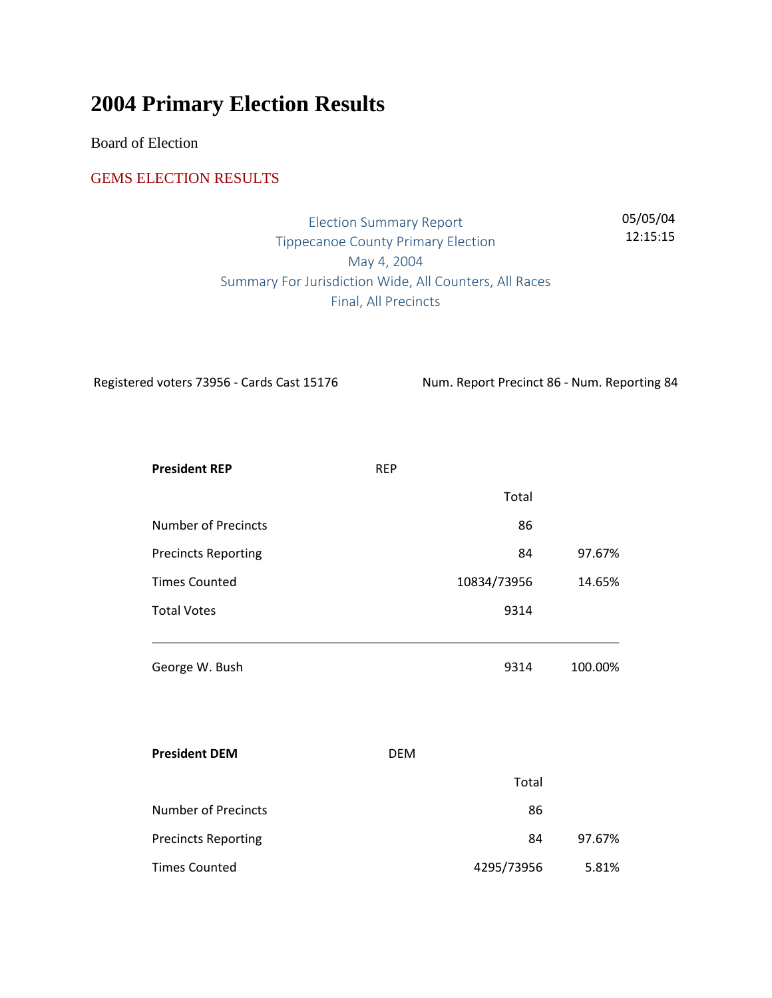# **2004 Primary Election Results**

Board of Election

#### GEMS ELECTION RESULTS

Election Summary Report Tippecanoe County Primary Election May 4, 2004 Summary For Jurisdiction Wide, All Counters, All Races Final, All Precincts 05/05/04 12:15:15

Registered voters 73956 - Cards Cast 15176 Num. Report Precinct 86 - Num. Reporting 84

| <b>President REP</b>       | <b>REP</b> |             |         |
|----------------------------|------------|-------------|---------|
|                            |            | Total       |         |
| <b>Number of Precincts</b> |            | 86          |         |
| <b>Precincts Reporting</b> |            | 84          | 97.67%  |
| <b>Times Counted</b>       |            | 10834/73956 | 14.65%  |
| <b>Total Votes</b>         |            | 9314        |         |
| George W. Bush             |            | 9314        | 100.00% |
| <b>President DEM</b>       | <b>DEM</b> |             |         |
|                            |            | Total       |         |
| <b>Number of Precincts</b> |            | 86          |         |
| <b>Precincts Reporting</b> |            | 84          | 97.67%  |
| <b>Times Counted</b>       |            | 4295/73956  | 5.81%   |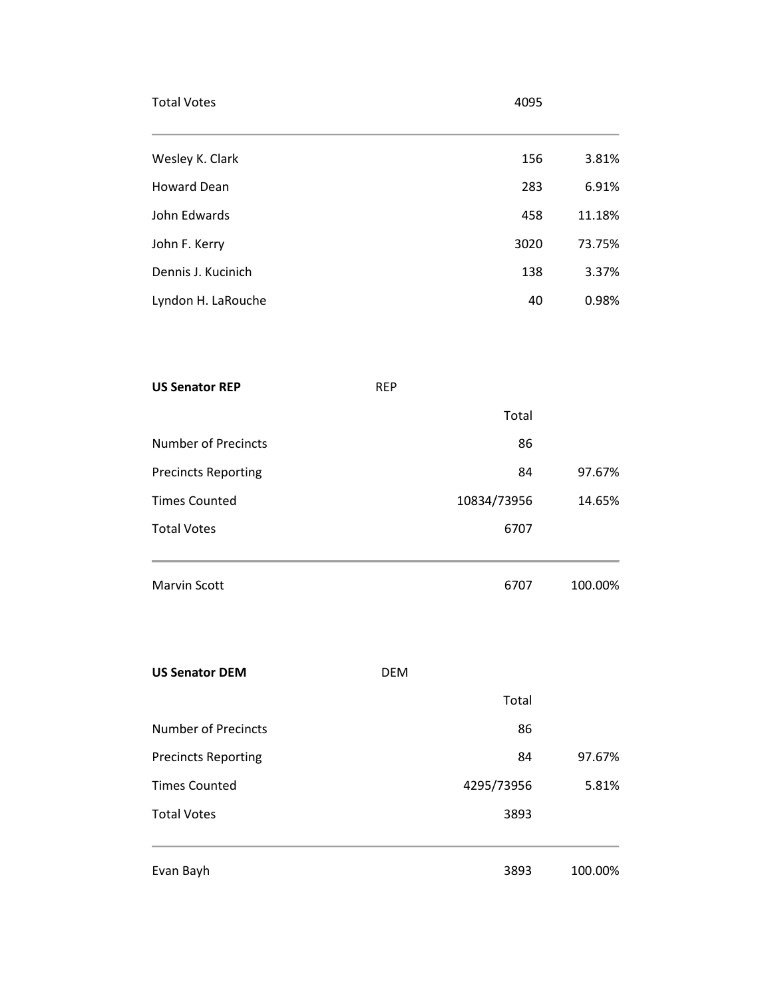| <b>Total Votes</b>         |            | 4095        |         |
|----------------------------|------------|-------------|---------|
| Wesley K. Clark            |            | 156         | 3.81%   |
| <b>Howard Dean</b>         |            | 283         | 6.91%   |
| John Edwards               |            | 458         | 11.18%  |
| John F. Kerry              |            | 3020        | 73.75%  |
| Dennis J. Kucinich         |            | 138         | 3.37%   |
| Lyndon H. LaRouche         |            | 40          | 0.98%   |
| <b>US Senator REP</b>      | <b>REP</b> |             |         |
|                            |            | Total       |         |
| <b>Number of Precincts</b> |            | 86          |         |
| <b>Precincts Reporting</b> |            | 84          | 97.67%  |
| <b>Times Counted</b>       |            | 10834/73956 | 14.65%  |
| <b>Total Votes</b>         |            | 6707        |         |
| <b>Marvin Scott</b>        |            | 6707        | 100.00% |
| <b>US Senator DEM</b>      | <b>DEM</b> |             |         |
|                            |            | Total       |         |
| <b>Number of Precincts</b> |            | 86          |         |
| <b>Precincts Reporting</b> |            | 84          | 97.67%  |
| <b>Times Counted</b>       |            | 4295/73956  | 5.81%   |
| <b>Total Votes</b>         |            | 3893        |         |

Evan Bayh 3893 100.00%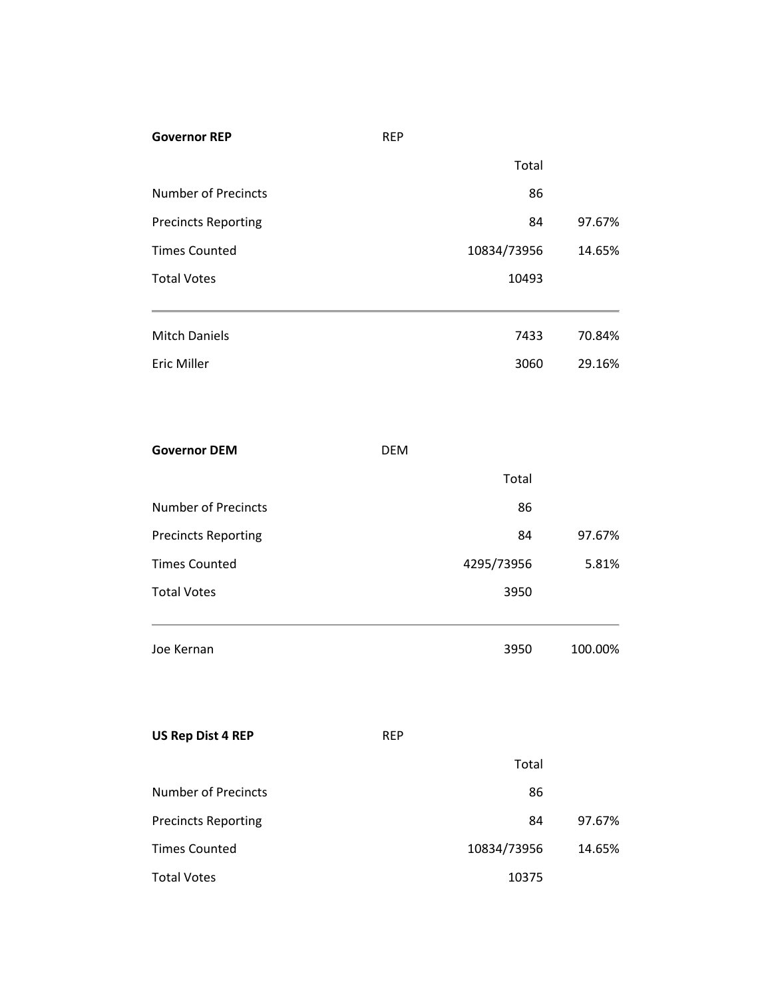| Total<br><b>Number of Precincts</b><br>86<br>97.67%<br><b>Precincts Reporting</b><br>84<br><b>Times Counted</b><br>10834/73956<br>14.65%<br><b>Total Votes</b><br>10493<br><b>Mitch Daniels</b><br>7433<br>70.84% |  |
|-------------------------------------------------------------------------------------------------------------------------------------------------------------------------------------------------------------------|--|
|                                                                                                                                                                                                                   |  |
|                                                                                                                                                                                                                   |  |
|                                                                                                                                                                                                                   |  |
|                                                                                                                                                                                                                   |  |
|                                                                                                                                                                                                                   |  |
|                                                                                                                                                                                                                   |  |
| <b>Eric Miller</b><br>29.16%<br>3060                                                                                                                                                                              |  |
|                                                                                                                                                                                                                   |  |
| <b>Governor DEM</b><br><b>DEM</b>                                                                                                                                                                                 |  |
| Total                                                                                                                                                                                                             |  |
| <b>Number of Precincts</b><br>86                                                                                                                                                                                  |  |
| 97.67%<br><b>Precincts Reporting</b><br>84                                                                                                                                                                        |  |
| <b>Times Counted</b><br>4295/73956<br>5.81%                                                                                                                                                                       |  |
| <b>Total Votes</b><br>3950                                                                                                                                                                                        |  |
| Joe Kernan<br>100.00%<br>3950                                                                                                                                                                                     |  |
| <b>US Rep Dist 4 REP</b><br><b>REP</b>                                                                                                                                                                            |  |
| Total                                                                                                                                                                                                             |  |
| <b>Number of Precincts</b><br>86                                                                                                                                                                                  |  |
| 97.67%<br><b>Precincts Reporting</b><br>84                                                                                                                                                                        |  |
| <b>Times Counted</b><br>10834/73956<br>14.65%                                                                                                                                                                     |  |
| <b>Total Votes</b><br>10375                                                                                                                                                                                       |  |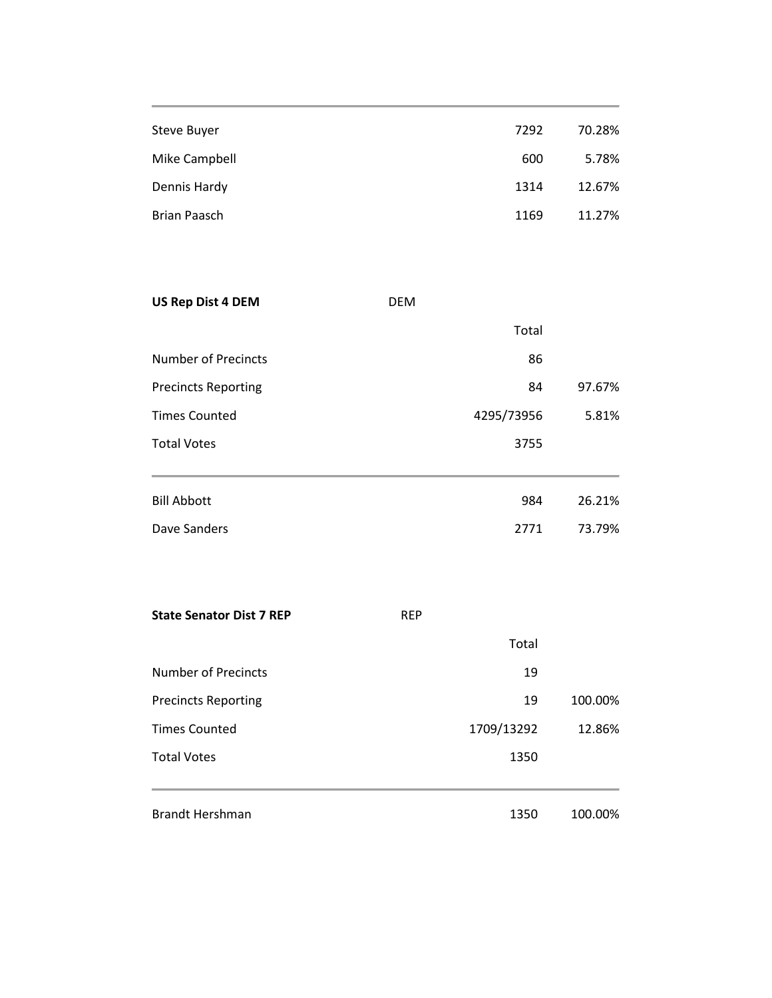| Steve Buyer   | 7292 | 70.28% |
|---------------|------|--------|
| Mike Campbell | 600  | 5.78%  |
| Dennis Hardy  | 1314 | 12.67% |
| Brian Paasch  | 1169 | 11.27% |

| <b>US Rep Dist 4 DEM</b>                                                  | <b>DEM</b> |            |                 |  |
|---------------------------------------------------------------------------|------------|------------|-----------------|--|
| Number of Precincts<br><b>Precincts Reporting</b><br><b>Times Counted</b> |            | Total      |                 |  |
|                                                                           |            | 86         |                 |  |
|                                                                           |            | 84         | 97.67%<br>5.81% |  |
|                                                                           |            | 4295/73956 |                 |  |
| <b>Total Votes</b>                                                        |            | 3755       |                 |  |
| <b>Bill Abbott</b>                                                        |            | 984        | 26.21%          |  |
| Dave Sanders                                                              |            | 2771       | 73.79%          |  |

| <b>State Senator Dist 7 REP</b> | <b>REP</b> |            |         |  |
|---------------------------------|------------|------------|---------|--|
|                                 |            | Total      |         |  |
| Number of Precincts             |            | 19         |         |  |
| <b>Precincts Reporting</b>      |            | 19         | 100.00% |  |
| <b>Times Counted</b>            |            | 1709/13292 | 12.86%  |  |
| <b>Total Votes</b>              |            | 1350       |         |  |
|                                 |            |            |         |  |
| <b>Brandt Hershman</b>          |            | 1350       | 100.00% |  |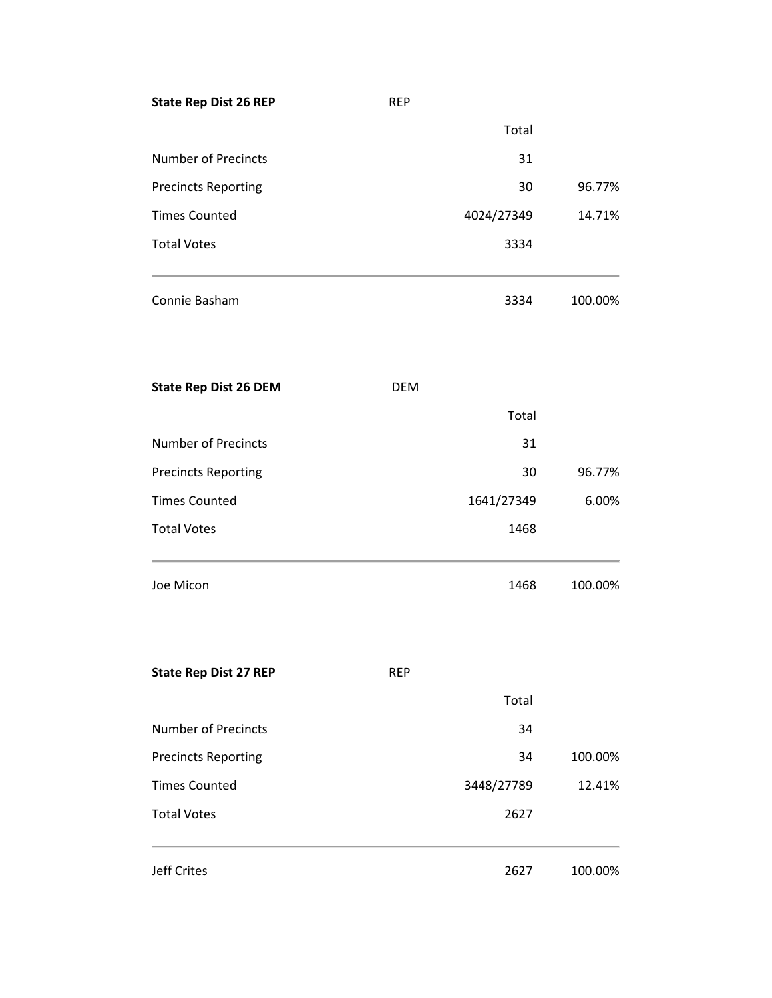| <b>State Rep Dist 26 REP</b> | <b>REP</b> |            |         |
|------------------------------|------------|------------|---------|
|                              |            | Total      |         |
| <b>Number of Precincts</b>   |            | 31         |         |
| <b>Precincts Reporting</b>   |            | 30         | 96.77%  |
| <b>Times Counted</b>         |            | 4024/27349 | 14.71%  |
| <b>Total Votes</b>           |            | 3334       |         |
| Connie Basham                |            | 3334       | 100.00% |
| <b>State Rep Dist 26 DEM</b> | <b>DEM</b> |            |         |
|                              |            | Total      |         |
| <b>Number of Precincts</b>   |            | 31         |         |
| <b>Precincts Reporting</b>   |            | 30         | 96.77%  |
| <b>Times Counted</b>         |            | 1641/27349 | 6.00%   |
| <b>Total Votes</b>           |            | 1468       |         |
| Joe Micon                    |            | 1468       | 100.00% |
| <b>State Rep Dist 27 REP</b> | <b>REP</b> |            |         |
|                              |            | Total      |         |
| <b>Number of Precincts</b>   |            | 34         |         |
| <b>Precincts Reporting</b>   |            | 34         | 100.00% |
| <b>Times Counted</b>         |            | 3448/27789 | 12.41%  |
| <b>Total Votes</b>           |            | 2627       |         |
| <b>Jeff Crites</b>           |            | 2627       | 100.00% |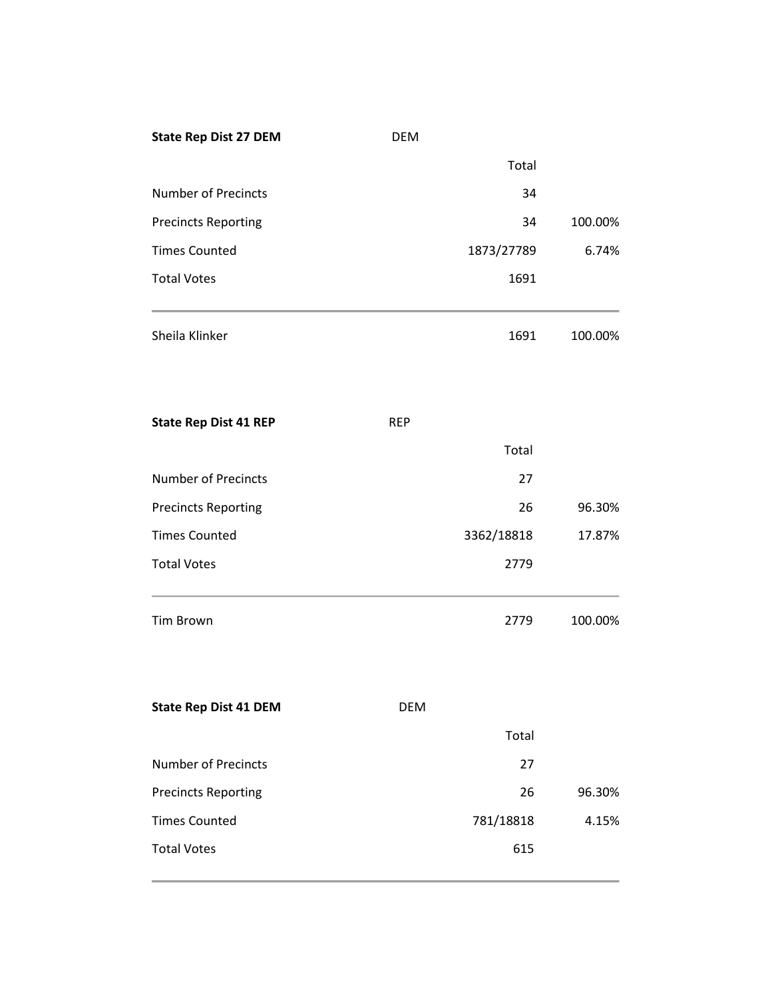| <b>State Rep Dist 27 DEM</b> | <b>DEM</b> |            |         |
|------------------------------|------------|------------|---------|
|                              |            | Total      |         |
| <b>Number of Precincts</b>   |            | 34         |         |
| <b>Precincts Reporting</b>   |            | 34         | 100.00% |
| <b>Times Counted</b>         |            | 1873/27789 | 6.74%   |
| <b>Total Votes</b>           |            | 1691       |         |
| Sheila Klinker               |            | 1691       | 100.00% |
| <b>State Rep Dist 41 REP</b> | <b>REP</b> |            |         |
|                              |            | Total      |         |
| <b>Number of Precincts</b>   |            | 27         |         |
| <b>Precincts Reporting</b>   |            | 26         | 96.30%  |
| <b>Times Counted</b>         |            | 3362/18818 | 17.87%  |
| <b>Total Votes</b>           |            | 2779       |         |
| <b>Tim Brown</b>             |            | 2779       | 100.00% |
| <b>State Rep Dist 41 DEM</b> | <b>DEM</b> |            |         |
|                              |            | Total      |         |
| <b>Number of Precincts</b>   |            | 27         |         |
| <b>Precincts Reporting</b>   |            | 26         | 96.30%  |
| <b>Times Counted</b>         |            | 781/18818  | 4.15%   |
| <b>Total Votes</b>           |            | 615        |         |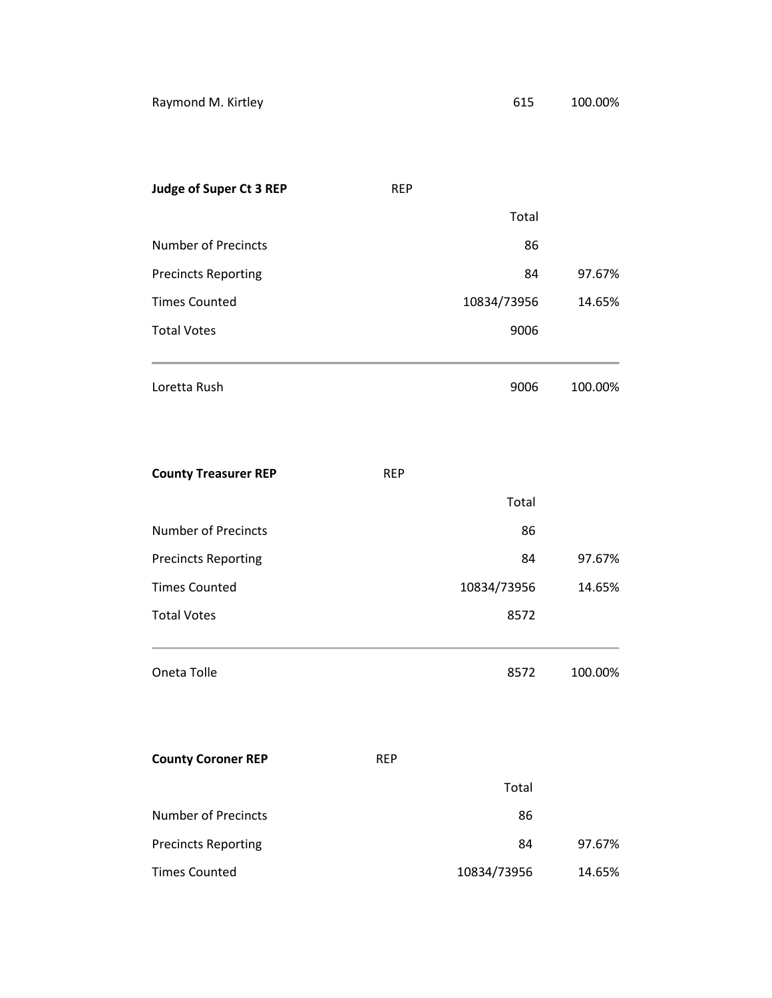| <b>Judge of Super Ct 3 REP</b> | <b>REP</b> |             |         |
|--------------------------------|------------|-------------|---------|
|                                |            | Total       |         |
| <b>Number of Precincts</b>     |            | 86          |         |
| <b>Precincts Reporting</b>     |            | 84          | 97.67%  |
| <b>Times Counted</b>           |            | 10834/73956 | 14.65%  |
| <b>Total Votes</b>             |            | 9006        |         |
|                                |            |             |         |
| Loretta Rush                   |            | 9006        | 100.00% |
|                                |            |             |         |

| <b>County Treasurer REP</b> | <b>REP</b> |             |         |
|-----------------------------|------------|-------------|---------|
|                             |            | Total       |         |
| <b>Number of Precincts</b>  |            | 86          |         |
| <b>Precincts Reporting</b>  |            | 84          | 97.67%  |
| <b>Times Counted</b>        |            | 10834/73956 | 14.65%  |
| <b>Total Votes</b>          |            | 8572        |         |
| Oneta Tolle                 |            | 8572        | 100.00% |
| <b>County Coroner REP</b>   | <b>REP</b> |             |         |
|                             |            | Total       |         |
| <b>Number of Precincts</b>  |            | 86          |         |
| <b>Precincts Reporting</b>  |            | 84          | 97.67%  |
| <b>Times Counted</b>        |            | 10834/73956 | 14.65%  |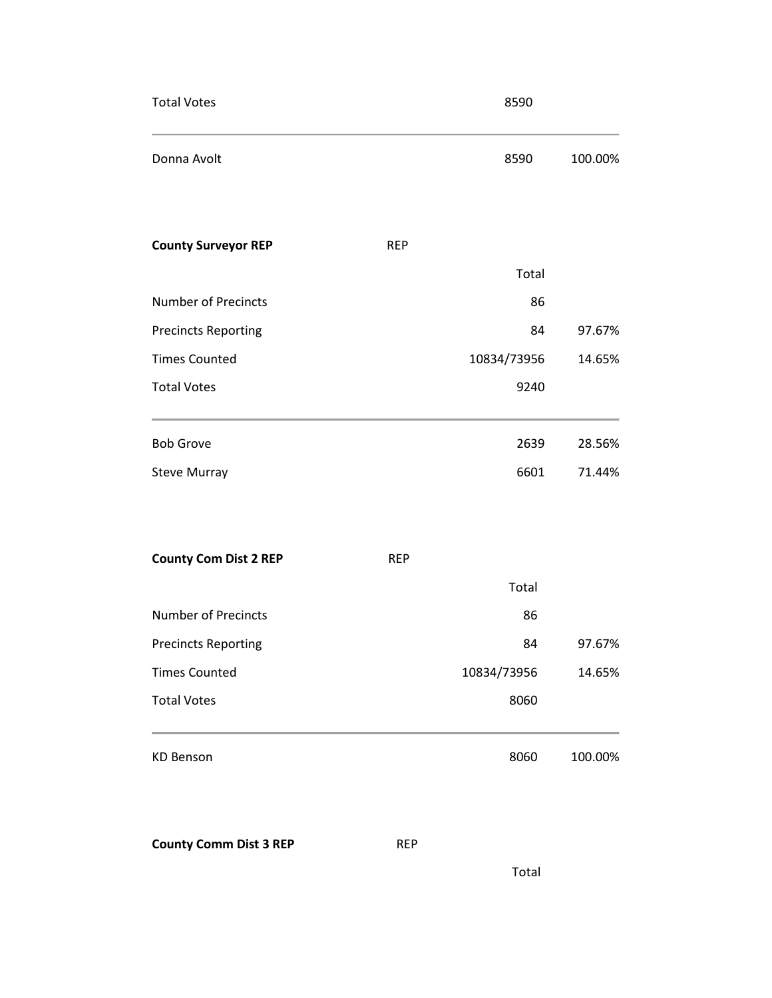| <b>Total Votes</b>                         | 8590        |         |
|--------------------------------------------|-------------|---------|
| Donna Avolt                                | 8590        | 100.00% |
| <b>County Surveyor REP</b><br><b>REP</b>   |             |         |
|                                            | Total       |         |
| <b>Number of Precincts</b>                 | 86          |         |
| <b>Precincts Reporting</b>                 | 84          | 97.67%  |
| <b>Times Counted</b>                       | 10834/73956 | 14.65%  |
| <b>Total Votes</b>                         | 9240        |         |
| <b>Bob Grove</b>                           | 2639        | 28.56%  |
| <b>Steve Murray</b>                        | 6601        | 71.44%  |
| <b>County Com Dist 2 REP</b><br><b>REP</b> |             |         |
|                                            | Total       |         |
| <b>Number of Precincts</b>                 | 86          |         |
| <b>Precincts Reporting</b>                 | 84          | 97.67%  |
| <b>Times Counted</b>                       | 10834/73956 | 14.65%  |
| <b>Total Votes</b>                         | 8060        |         |
| <b>KD Benson</b>                           | 8060        | 100.00% |

**County Comm Dist 3 REP** REP

Total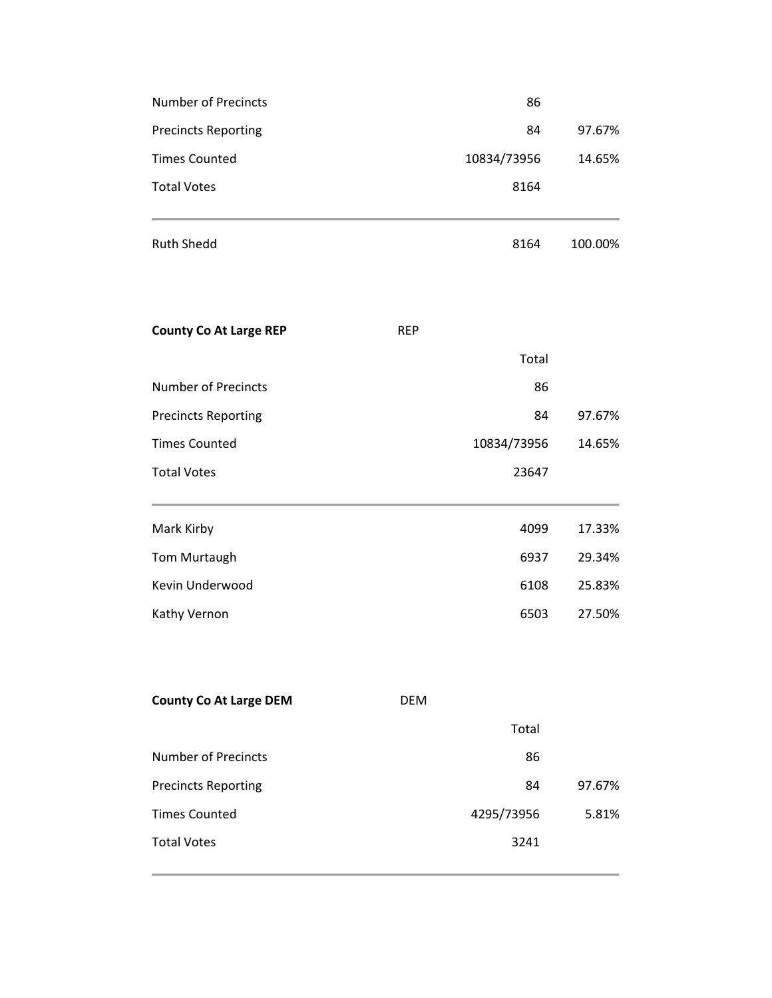| <b>Number of Precincts</b>    |            | 86          |         |
|-------------------------------|------------|-------------|---------|
| <b>Precincts Reporting</b>    |            | 84          | 97.67%  |
| <b>Times Counted</b>          |            | 10834/73956 | 14.65%  |
| <b>Total Votes</b>            |            | 8164        |         |
| <b>Ruth Shedd</b>             |            | 8164        | 100.00% |
| <b>County Co At Large REP</b> | <b>REP</b> |             |         |
|                               |            | Total       |         |
| <b>Number of Precincts</b>    |            | 86          |         |
| <b>Precincts Reporting</b>    |            | 84          | 97.67%  |
| <b>Times Counted</b>          |            | 10834/73956 | 14.65%  |
| <b>Total Votes</b>            |            | 23647       |         |
| Mark Kirby                    |            | 4099        | 17.33%  |
| Tom Murtaugh                  |            | 6937        | 29.34%  |
| Kevin Underwood               |            | 6108        | 25.83%  |
| Kathy Vernon                  |            | 6503        | 27.50%  |
|                               |            |             |         |
| <b>County Co At Large DEM</b> | <b>DEM</b> |             |         |
|                               |            | Total       |         |
| <b>Number of Precincts</b>    |            | 86          |         |
| <b>Precincts Reporting</b>    |            | 84          | 97.67%  |
| <b>Times Counted</b>          |            | 4295/73956  | 5.81%   |
| <b>Total Votes</b>            |            | 3241        |         |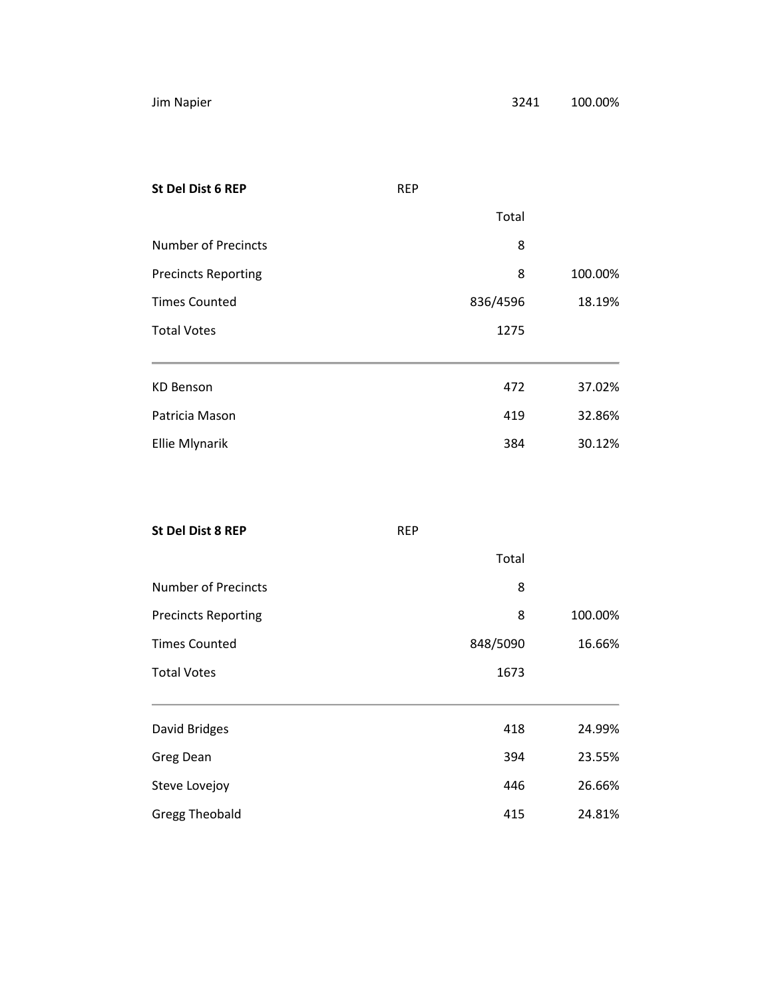| <b>St Del Dist 6 REP</b>   | <b>REP</b> |         |
|----------------------------|------------|---------|
|                            | Total      |         |
| <b>Number of Precincts</b> | 8          |         |
| <b>Precincts Reporting</b> | 8          | 100.00% |
| <b>Times Counted</b>       | 836/4596   | 18.19%  |
| <b>Total Votes</b>         | 1275       |         |
|                            |            |         |
| <b>KD Benson</b>           | 472        | 37.02%  |
| Patricia Mason             | 419        | 32.86%  |
| <b>Ellie Mlynarik</b>      | 384        | 30.12%  |
|                            |            |         |

| <b>St Del Dist 8 REP</b>   | <b>REP</b> |         |  |
|----------------------------|------------|---------|--|
|                            | Total      |         |  |
| <b>Number of Precincts</b> | 8          |         |  |
| <b>Precincts Reporting</b> | 8          | 100.00% |  |
| <b>Times Counted</b>       | 848/5090   | 16.66%  |  |
| <b>Total Votes</b>         | 1673       |         |  |
|                            |            |         |  |
| David Bridges              | 418        | 24.99%  |  |
| Greg Dean                  | 394        | 23.55%  |  |
| Steve Lovejoy              | 446        | 26.66%  |  |
| <b>Gregg Theobald</b>      | 415        | 24.81%  |  |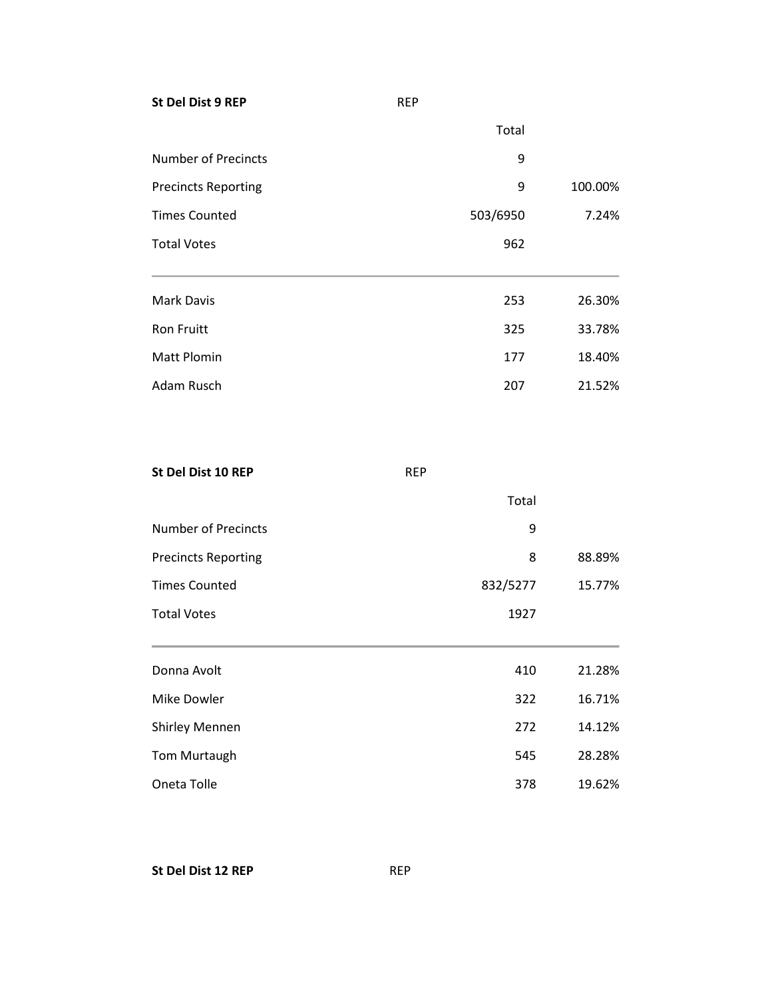**St Del Dist 9 REP** REP Total Number of Precincts 9 Precincts Reporting and the contract of the Precincts Reporting and the contract of the contract of the contract of the contract of the contract of the contract of the contract of the contract of the contract of the contra Times Counted **503/6950** 7.24% Total Votes 862 and 2008 12:00 12:00 12:00 12:00 12:00 12:00 12:00 12:00 12:00 12:00 12:00 12:00 12:00 12:00 12:00 12:00 12:00 12:00 12:00 12:00 12:00 12:00 12:00 12:00 12:00 12:00 12:00 12:00 12:00 12:00 12:00 12:00 12:00 Mark Davis 253 26.30% Ron Fruitt 33.78% Matt Plomin 177 18.40% Adam Rusch 207 21.52%

| St Del Dist 10 REP         | <b>REP</b> |          |        |
|----------------------------|------------|----------|--------|
|                            |            | Total    |        |
| <b>Number of Precincts</b> |            | 9        |        |
| <b>Precincts Reporting</b> |            | 8        | 88.89% |
| <b>Times Counted</b>       |            | 832/5277 | 15.77% |
| <b>Total Votes</b>         |            | 1927     |        |
| Donna Avolt                |            | 410      | 21.28% |
| Mike Dowler                |            | 322      | 16.71% |
| <b>Shirley Mennen</b>      |            | 272      | 14.12% |
| Tom Murtaugh               |            | 545      | 28.28% |
| Oneta Tolle                |            | 378      | 19.62% |

**St Del Dist 12 REP** REP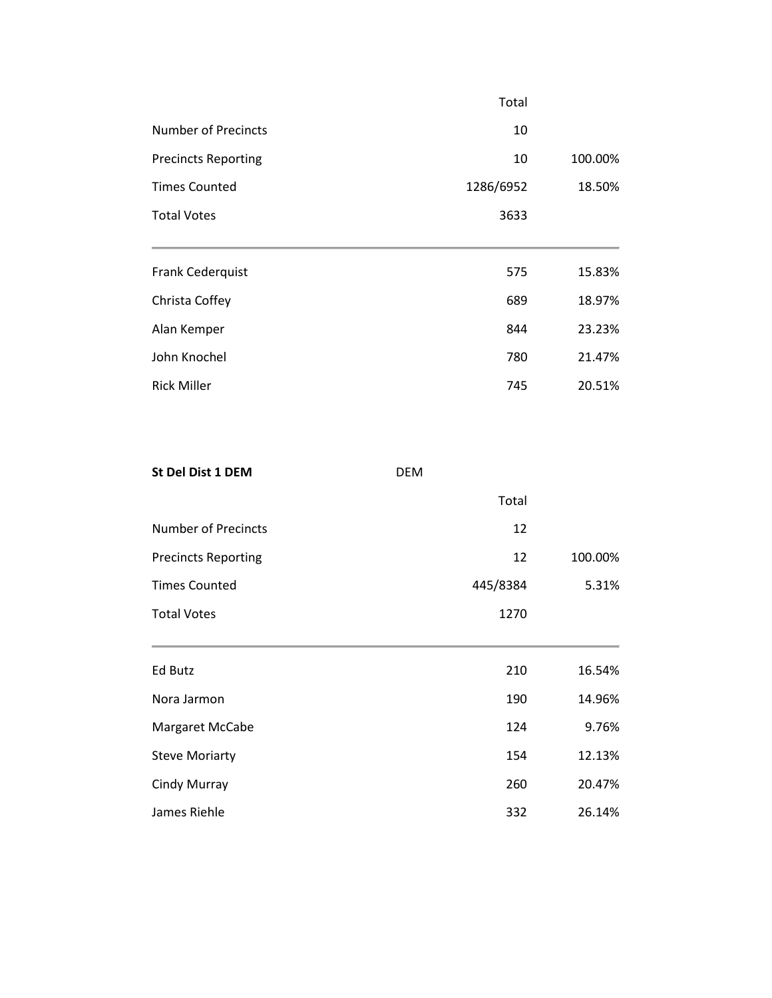|                            | Total     |         |
|----------------------------|-----------|---------|
| Number of Precincts        | 10        |         |
| <b>Precincts Reporting</b> | 10        | 100.00% |
| <b>Times Counted</b>       | 1286/6952 | 18.50%  |
| <b>Total Votes</b>         | 3633      |         |
|                            |           |         |
| Frank Cederquist           | 575       | 15.83%  |
| Christa Coffey             | 689       | 18.97%  |
| Alan Kemper                | 844       | 23.23%  |
| John Knochel               | 780       | 21.47%  |
| <b>Rick Miller</b>         | 745       | 20.51%  |
|                            |           |         |

| St Del Dist 1 DEM          | <b>DEM</b> |         |
|----------------------------|------------|---------|
|                            | Total      |         |
| <b>Number of Precincts</b> | 12         |         |
| <b>Precincts Reporting</b> | 12         | 100.00% |
| <b>Times Counted</b>       | 445/8384   | 5.31%   |
| <b>Total Votes</b>         | 1270       |         |
| Ed Butz                    | 210        | 16.54%  |
| Nora Jarmon                | 190        | 14.96%  |
| Margaret McCabe            | 124        | 9.76%   |
| <b>Steve Moriarty</b>      | 154        | 12.13%  |
| Cindy Murray               | 260        | 20.47%  |
| James Riehle               | 332        | 26.14%  |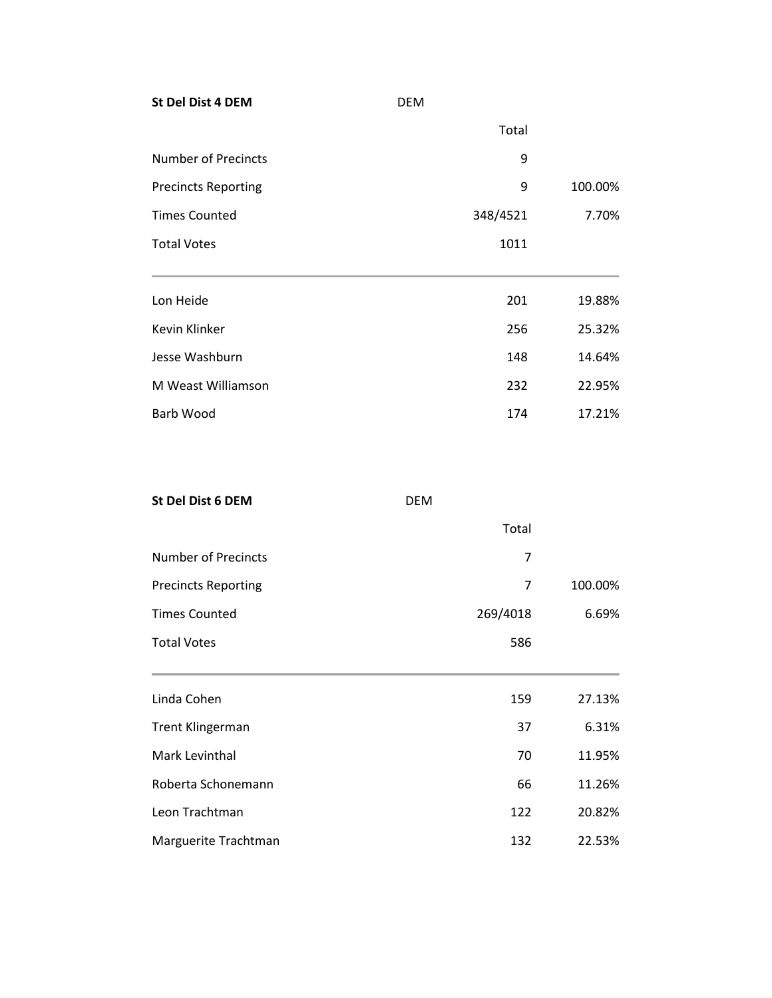**St Del Dist 4 DEM** DEM Total Number of Precincts 9 Precincts Reporting and the contract of the Precincts Reporting and the contract of the contract of the contract of the contract of the contract of the contract of the contract of the contract of the contract of the contra Times Counted **348/4521** 7.70% Total Votes 1011 Lon Heide 201 19.88% Kevin Klinker 25.32% Jesse Washburn 148 14.64% M Weast Williamson 232 22.95% Barb Wood **174** 17.21%

| St Del Dist 6 DEM          | <b>DEM</b> |         |
|----------------------------|------------|---------|
|                            | Total      |         |
| <b>Number of Precincts</b> | 7          |         |
| <b>Precincts Reporting</b> | 7          | 100.00% |
| <b>Times Counted</b>       | 269/4018   | 6.69%   |
| <b>Total Votes</b>         | 586        |         |
|                            |            |         |
| Linda Cohen                | 159        | 27.13%  |
| <b>Trent Klingerman</b>    | 37         | 6.31%   |
| Mark Levinthal             | 70         | 11.95%  |
| Roberta Schonemann         | 66         | 11.26%  |
| Leon Trachtman             | 122        | 20.82%  |
| Marguerite Trachtman       | 132        | 22.53%  |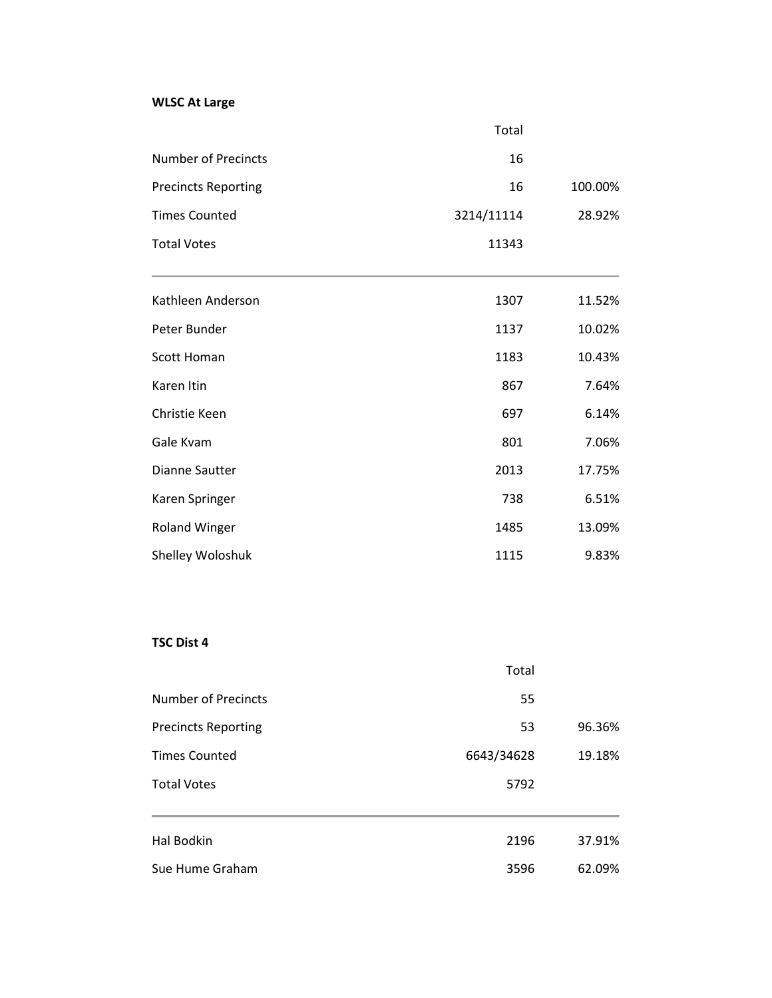# **WLSC At Large**

|                            | Total      |         |
|----------------------------|------------|---------|
| <b>Number of Precincts</b> | 16         |         |
| <b>Precincts Reporting</b> | 16         | 100.00% |
| <b>Times Counted</b>       | 3214/11114 | 28.92%  |
| <b>Total Votes</b>         | 11343      |         |
| Kathleen Anderson          | 1307       | 11.52%  |
| Peter Bunder               | 1137       | 10.02%  |
| <b>Scott Homan</b>         | 1183       | 10.43%  |
| Karen Itin                 | 867        | 7.64%   |
| Christie Keen              | 697        | 6.14%   |
| Gale Kvam                  | 801        | 7.06%   |
| <b>Dianne Sautter</b>      | 2013       | 17.75%  |
| Karen Springer             | 738        | 6.51%   |
| <b>Roland Winger</b>       | 1485       | 13.09%  |
| Shelley Woloshuk           | 1115       | 9.83%   |

# **TSC Dist 4**

|                            | Total      |        |
|----------------------------|------------|--------|
| <b>Number of Precincts</b> | 55         |        |
| <b>Precincts Reporting</b> | 53         | 96.36% |
| <b>Times Counted</b>       | 6643/34628 | 19.18% |
| <b>Total Votes</b>         | 5792       |        |
|                            |            |        |
| Hal Bodkin                 | 2196       | 37.91% |
| Sue Hume Graham            | 3596       | 62.09% |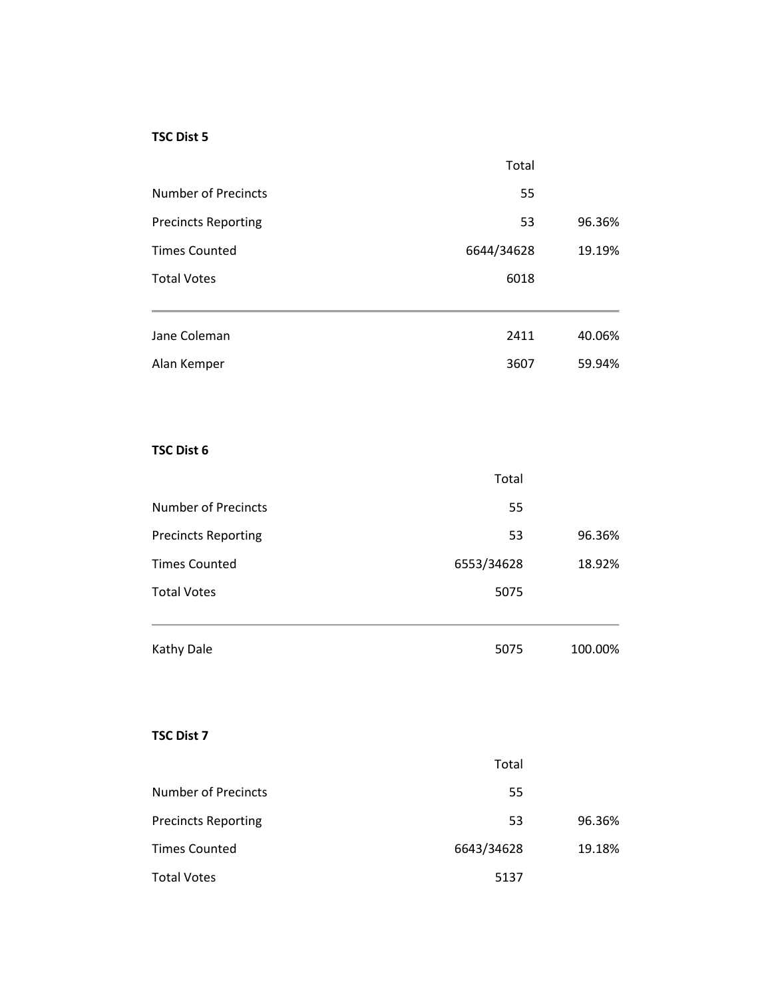#### **TSC Dist 5**

|                            | Total      |        |
|----------------------------|------------|--------|
| <b>Number of Precincts</b> | 55         |        |
| <b>Precincts Reporting</b> | 53         | 96.36% |
| <b>Times Counted</b>       | 6644/34628 | 19.19% |
| <b>Total Votes</b>         | 6018       |        |
|                            |            |        |
| Jane Coleman               | 2411       | 40.06% |
| Alan Kemper                | 3607       | 59.94% |

#### **TSC Dist 6**

| Kathy Dale                 | 5075       | 100.00% |
|----------------------------|------------|---------|
| <b>Total Votes</b>         | 5075       |         |
| <b>Times Counted</b>       | 6553/34628 | 18.92%  |
| <b>Precincts Reporting</b> | 53         | 96.36%  |
| <b>Number of Precincts</b> | 55         |         |
|                            | Total      |         |

### **TSC Dist 7**

|                            | Total      |        |
|----------------------------|------------|--------|
| <b>Number of Precincts</b> | 55         |        |
| <b>Precincts Reporting</b> | 53         | 96.36% |
| <b>Times Counted</b>       | 6643/34628 | 19.18% |
| <b>Total Votes</b>         | 5137       |        |